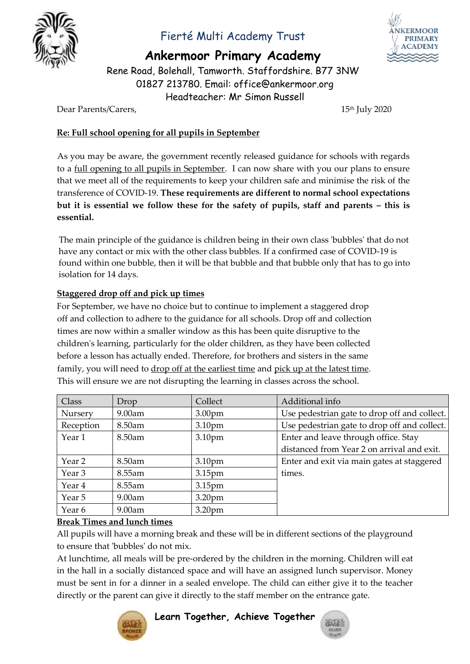

## Fierté Multi Academy Trust

**Ankermoor Primary Academy**

Rene Road, Bolehall, Tamworth. Staffordshire. B77 3NW 01827 213780. Email: office@ankermoor.org Headteacher: Mr Simon Russell

Dear Parents/Carers, 15<sup>th</sup> July 2020

### **Re: Full school opening for all pupils in September**

As you may be aware, the government recently released guidance for schools with regards to a full opening to all pupils in September. I can now share with you our plans to ensure that we meet all of the requirements to keep your children safe and minimise the risk of the transference of COVID-19. **These requirements are different to normal school expectations but it is essential we follow these for the safety of pupils, staff and parents – this is essential.**

The main principle of the guidance is children being in their own class 'bubbles' that do not have any contact or mix with the other class bubbles. If a confirmed case of COVID-19 is found within one bubble, then it will be that bubble and that bubble only that has to go into isolation for 14 days.

### **Staggered drop off and pick up times**

For September, we have no choice but to continue to implement a staggered drop off and collection to adhere to the guidance for all schools. Drop off and collection times are now within a smaller window as this has been quite disruptive to the children's learning, particularly for the older children, as they have been collected before a lesson has actually ended. Therefore, for brothers and sisters in the same family, you will need to drop off at the earliest time and pick up at the latest time. This will ensure we are not disrupting the learning in classes across the school.

| Class          | Drop      | Collect            | Additional info                              |
|----------------|-----------|--------------------|----------------------------------------------|
| <b>Nursery</b> | $9.00$ am | 3.00 <sub>pm</sub> | Use pedestrian gate to drop off and collect. |
| Reception      | 8.50am    | 3.10 <sub>pm</sub> | Use pedestrian gate to drop off and collect. |
| Year 1         | $8.50$ am | 3.10pm             | Enter and leave through office. Stay         |
|                |           |                    | distanced from Year 2 on arrival and exit.   |
| Year 2         | 8.50am    | 3.10 <sub>pm</sub> | Enter and exit via main gates at staggered   |
| Year 3         | 8.55am    | 3.15 <sub>pm</sub> | times.                                       |
| Year 4         | 8.55am    | 3.15 <sub>pm</sub> |                                              |
| Year 5         | $9.00$ am | 3.20 <sub>pm</sub> |                                              |
| Year 6         | $9.00$ am | 3.20 <sub>pm</sub> |                                              |

#### **Break Times and lunch times**

All pupils will have a morning break and these will be in different sections of the playground to ensure that 'bubbles' do not mix.

At lunchtime, all meals will be pre-ordered by the children in the morning. Children will eat in the hall in a socially distanced space and will have an assigned lunch supervisor. Money must be sent in for a dinner in a sealed envelope. The child can either give it to the teacher directly or the parent can give it directly to the staff member on the entrance gate.



**Learn Together, Achieve Together**